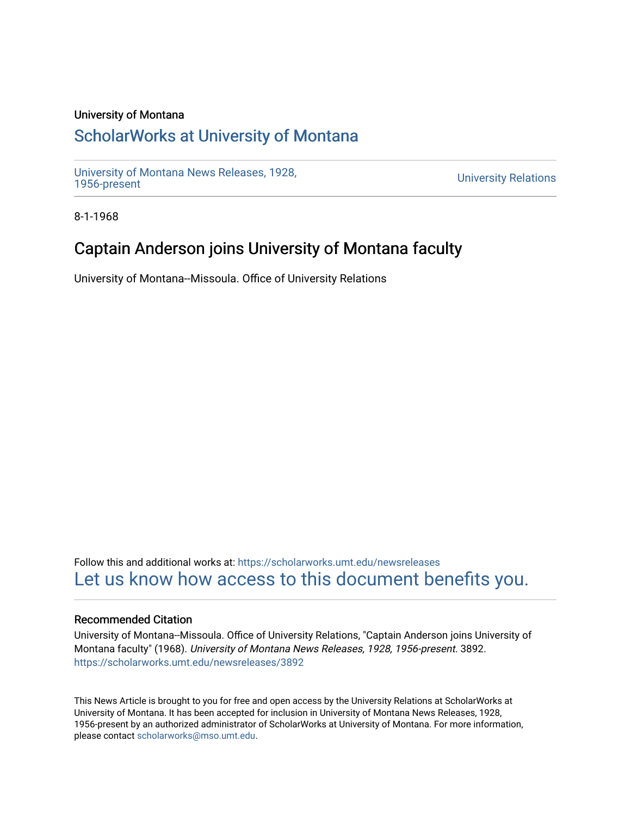### University of Montana

## [ScholarWorks at University of Montana](https://scholarworks.umt.edu/)

[University of Montana News Releases, 1928,](https://scholarworks.umt.edu/newsreleases) 

**University Relations** 

8-1-1968

## Captain Anderson joins University of Montana faculty

University of Montana--Missoula. Office of University Relations

Follow this and additional works at: [https://scholarworks.umt.edu/newsreleases](https://scholarworks.umt.edu/newsreleases?utm_source=scholarworks.umt.edu%2Fnewsreleases%2F3892&utm_medium=PDF&utm_campaign=PDFCoverPages) [Let us know how access to this document benefits you.](https://goo.gl/forms/s2rGfXOLzz71qgsB2) 

#### Recommended Citation

University of Montana--Missoula. Office of University Relations, "Captain Anderson joins University of Montana faculty" (1968). University of Montana News Releases, 1928, 1956-present. 3892. [https://scholarworks.umt.edu/newsreleases/3892](https://scholarworks.umt.edu/newsreleases/3892?utm_source=scholarworks.umt.edu%2Fnewsreleases%2F3892&utm_medium=PDF&utm_campaign=PDFCoverPages) 

This News Article is brought to you for free and open access by the University Relations at ScholarWorks at University of Montana. It has been accepted for inclusion in University of Montana News Releases, 1928, 1956-present by an authorized administrator of ScholarWorks at University of Montana. For more information, please contact [scholarworks@mso.umt.edu.](mailto:scholarworks@mso.umt.edu)